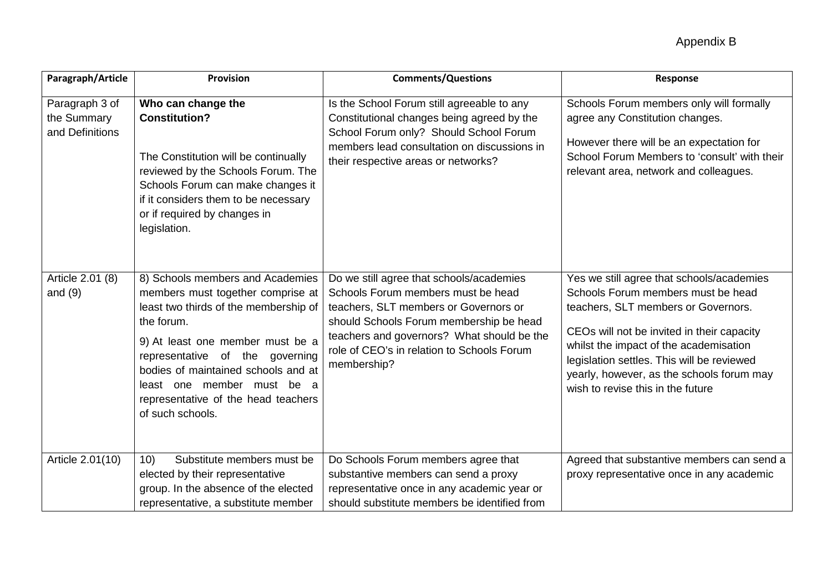| Paragraph/Article                                | <b>Provision</b>                                                                                                                                                                                                                                                                                                                    | <b>Comments/Questions</b>                                                                                                                                                                                                                                                     | Response                                                                                                                                                                                                                                                                                                                                       |
|--------------------------------------------------|-------------------------------------------------------------------------------------------------------------------------------------------------------------------------------------------------------------------------------------------------------------------------------------------------------------------------------------|-------------------------------------------------------------------------------------------------------------------------------------------------------------------------------------------------------------------------------------------------------------------------------|------------------------------------------------------------------------------------------------------------------------------------------------------------------------------------------------------------------------------------------------------------------------------------------------------------------------------------------------|
| Paragraph 3 of<br>the Summary<br>and Definitions | Who can change the<br><b>Constitution?</b><br>The Constitution will be continually<br>reviewed by the Schools Forum. The<br>Schools Forum can make changes it<br>if it considers them to be necessary<br>or if required by changes in<br>legislation.                                                                               | Is the School Forum still agreeable to any<br>Constitutional changes being agreed by the<br>School Forum only? Should School Forum<br>members lead consultation on discussions in<br>their respective areas or networks?                                                      | Schools Forum members only will formally<br>agree any Constitution changes.<br>However there will be an expectation for<br>School Forum Members to 'consult' with their<br>relevant area, network and colleagues.                                                                                                                              |
| Article 2.01 (8)<br>and $(9)$                    | 8) Schools members and Academies<br>members must together comprise at<br>least two thirds of the membership of<br>the forum.<br>9) At least one member must be a<br>representative of the governing<br>bodies of maintained schools and at<br>least one member must be a<br>representative of the head teachers<br>of such schools. | Do we still agree that schools/academies<br>Schools Forum members must be head<br>teachers, SLT members or Governors or<br>should Schools Forum membership be head<br>teachers and governors? What should be the<br>role of CEO's in relation to Schools Forum<br>membership? | Yes we still agree that schools/academies<br>Schools Forum members must be head<br>teachers, SLT members or Governors.<br>CEOs will not be invited in their capacity<br>whilst the impact of the academisation<br>legislation settles. This will be reviewed<br>yearly, however, as the schools forum may<br>wish to revise this in the future |
| Article 2.01(10)                                 | Substitute members must be<br>10)<br>elected by their representative<br>group. In the absence of the elected<br>representative, a substitute member                                                                                                                                                                                 | Do Schools Forum members agree that<br>substantive members can send a proxy<br>representative once in any academic year or<br>should substitute members be identified from                                                                                                    | Agreed that substantive members can send a<br>proxy representative once in any academic                                                                                                                                                                                                                                                        |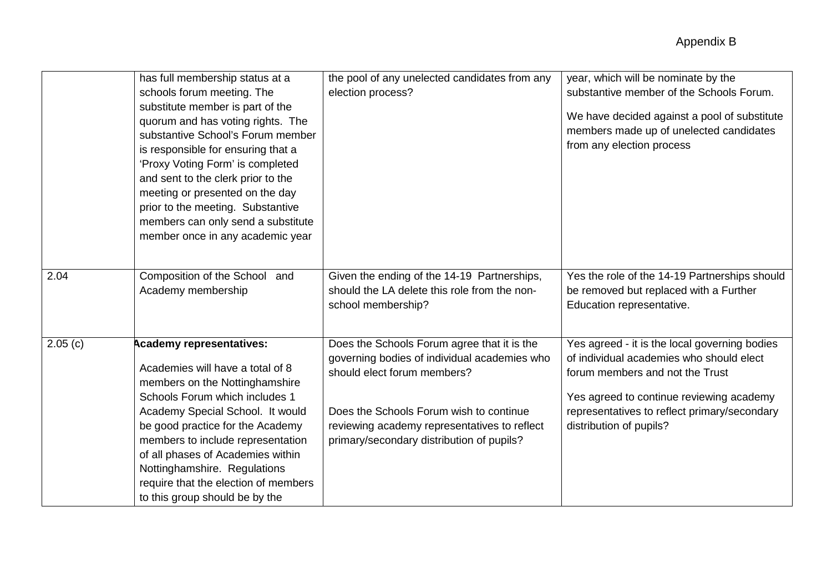|         | has full membership status at a<br>schools forum meeting. The<br>substitute member is part of the<br>quorum and has voting rights. The<br>substantive School's Forum member<br>is responsible for ensuring that a<br>'Proxy Voting Form' is completed<br>and sent to the clerk prior to the<br>meeting or presented on the day<br>prior to the meeting. Substantive<br>members can only send a substitute<br>member once in any academic year | the pool of any unelected candidates from any<br>election process?                                                                                                                                                                                                 | year, which will be nominate by the<br>substantive member of the Schools Forum.<br>We have decided against a pool of substitute<br>members made up of unelected candidates<br>from any election process                                             |
|---------|-----------------------------------------------------------------------------------------------------------------------------------------------------------------------------------------------------------------------------------------------------------------------------------------------------------------------------------------------------------------------------------------------------------------------------------------------|--------------------------------------------------------------------------------------------------------------------------------------------------------------------------------------------------------------------------------------------------------------------|-----------------------------------------------------------------------------------------------------------------------------------------------------------------------------------------------------------------------------------------------------|
| 2.04    | Composition of the School and<br>Academy membership                                                                                                                                                                                                                                                                                                                                                                                           | Given the ending of the 14-19 Partnerships,<br>should the LA delete this role from the non-<br>school membership?                                                                                                                                                  | Yes the role of the 14-19 Partnerships should<br>be removed but replaced with a Further<br>Education representative.                                                                                                                                |
| 2.05(c) | <b>Academy representatives:</b><br>Academies will have a total of 8<br>members on the Nottinghamshire<br>Schools Forum which includes 1<br>Academy Special School. It would<br>be good practice for the Academy<br>members to include representation<br>of all phases of Academies within<br>Nottinghamshire. Regulations<br>require that the election of members<br>to this group should be by the                                           | Does the Schools Forum agree that it is the<br>governing bodies of individual academies who<br>should elect forum members?<br>Does the Schools Forum wish to continue<br>reviewing academy representatives to reflect<br>primary/secondary distribution of pupils? | Yes agreed - it is the local governing bodies<br>of individual academies who should elect<br>forum members and not the Trust<br>Yes agreed to continue reviewing academy<br>representatives to reflect primary/secondary<br>distribution of pupils? |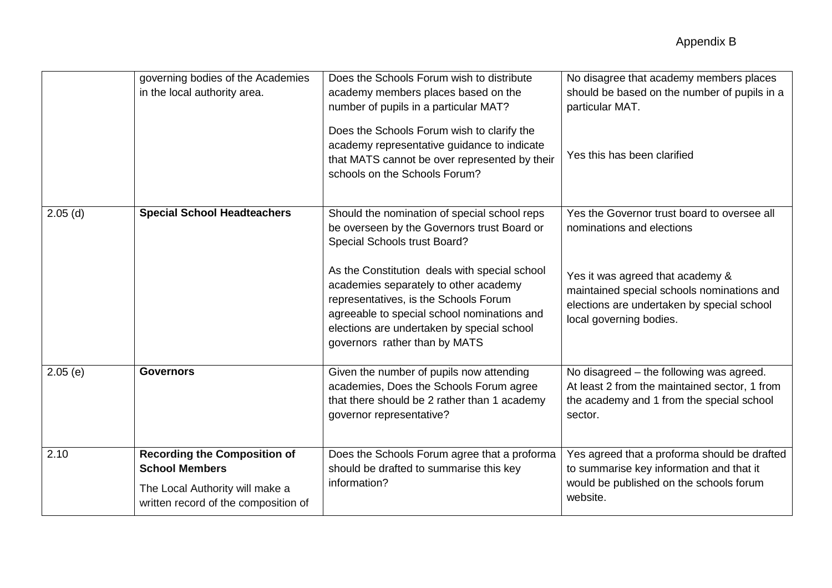|            | governing bodies of the Academies<br>in the local authority area.                                                                       | Does the Schools Forum wish to distribute<br>academy members places based on the<br>number of pupils in a particular MAT?<br>Does the Schools Forum wish to clarify the<br>academy representative guidance to indicate<br>that MATS cannot be over represented by their<br>schools on the Schools Forum?                                                                                     | No disagree that academy members places<br>should be based on the number of pupils in a<br>particular MAT.<br>Yes this has been clarified                                                                                           |
|------------|-----------------------------------------------------------------------------------------------------------------------------------------|----------------------------------------------------------------------------------------------------------------------------------------------------------------------------------------------------------------------------------------------------------------------------------------------------------------------------------------------------------------------------------------------|-------------------------------------------------------------------------------------------------------------------------------------------------------------------------------------------------------------------------------------|
| $2.05$ (d) | <b>Special School Headteachers</b>                                                                                                      | Should the nomination of special school reps<br>be overseen by the Governors trust Board or<br>Special Schools trust Board?<br>As the Constitution deals with special school<br>academies separately to other academy<br>representatives, is the Schools Forum<br>agreeable to special school nominations and<br>elections are undertaken by special school<br>governors rather than by MATS | Yes the Governor trust board to oversee all<br>nominations and elections<br>Yes it was agreed that academy &<br>maintained special schools nominations and<br>elections are undertaken by special school<br>local governing bodies. |
| 2.05(e)    | <b>Governors</b>                                                                                                                        | Given the number of pupils now attending<br>academies, Does the Schools Forum agree<br>that there should be 2 rather than 1 academy<br>governor representative?                                                                                                                                                                                                                              | No disagreed - the following was agreed.<br>At least 2 from the maintained sector, 1 from<br>the academy and 1 from the special school<br>sector.                                                                                   |
| 2.10       | <b>Recording the Composition of</b><br><b>School Members</b><br>The Local Authority will make a<br>written record of the composition of | Does the Schools Forum agree that a proforma<br>should be drafted to summarise this key<br>information?                                                                                                                                                                                                                                                                                      | Yes agreed that a proforma should be drafted<br>to summarise key information and that it<br>would be published on the schools forum<br>website.                                                                                     |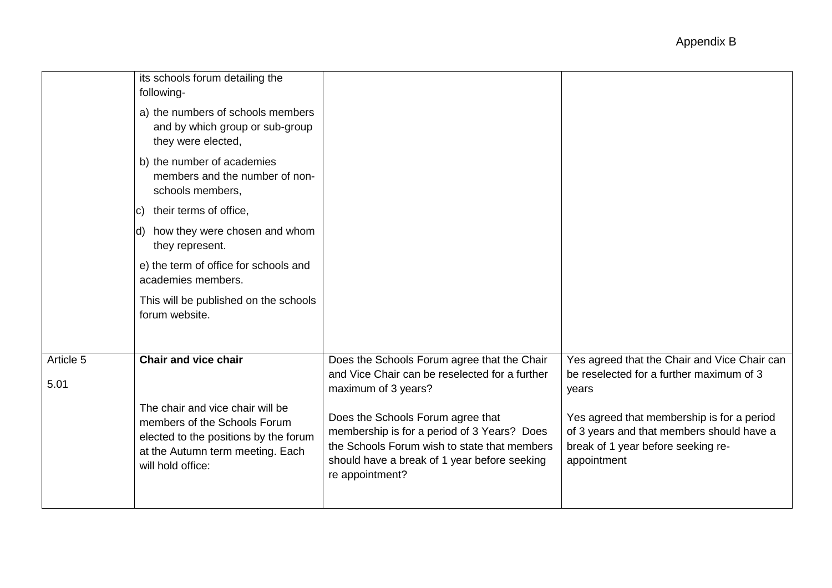|                   | its schools forum detailing the<br>following-<br>a) the numbers of schools members<br>and by which group or sub-group<br>they were elected,                        |                                                                                                                                                                                                     |                                                                                                                                              |
|-------------------|--------------------------------------------------------------------------------------------------------------------------------------------------------------------|-----------------------------------------------------------------------------------------------------------------------------------------------------------------------------------------------------|----------------------------------------------------------------------------------------------------------------------------------------------|
|                   | b) the number of academies<br>members and the number of non-<br>schools members,                                                                                   |                                                                                                                                                                                                     |                                                                                                                                              |
|                   | c) their terms of office,                                                                                                                                          |                                                                                                                                                                                                     |                                                                                                                                              |
|                   | d) how they were chosen and whom<br>they represent.                                                                                                                |                                                                                                                                                                                                     |                                                                                                                                              |
|                   | e) the term of office for schools and<br>academies members.                                                                                                        |                                                                                                                                                                                                     |                                                                                                                                              |
|                   | This will be published on the schools<br>forum website.                                                                                                            |                                                                                                                                                                                                     |                                                                                                                                              |
| Article 5<br>5.01 | Chair and vice chair                                                                                                                                               | Does the Schools Forum agree that the Chair<br>and Vice Chair can be reselected for a further<br>maximum of 3 years?                                                                                | Yes agreed that the Chair and Vice Chair can<br>be reselected for a further maximum of 3<br>years                                            |
|                   | The chair and vice chair will be<br>members of the Schools Forum<br>elected to the positions by the forum<br>at the Autumn term meeting. Each<br>will hold office: | Does the Schools Forum agree that<br>membership is for a period of 3 Years? Does<br>the Schools Forum wish to state that members<br>should have a break of 1 year before seeking<br>re appointment? | Yes agreed that membership is for a period<br>of 3 years and that members should have a<br>break of 1 year before seeking re-<br>appointment |